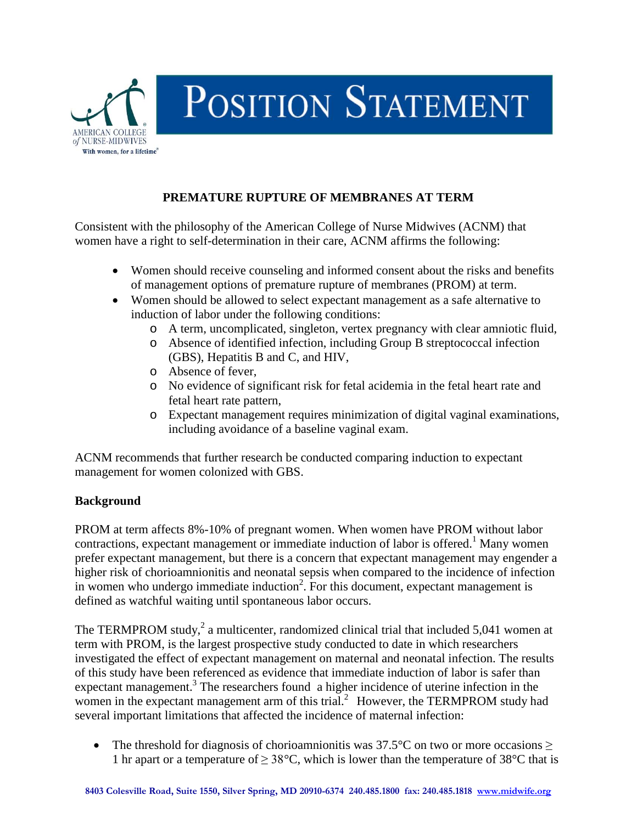

## **PREMATURE RUPTURE OF MEMBRANES AT TERM**

Consistent with the philosophy of the American College of Nurse Midwives (ACNM) that women have a right to self-determination in their care, ACNM affirms the following:

- Women should receive counseling and informed consent about the risks and benefits of management options of premature rupture of membranes (PROM) at term.
- Women should be allowed to select expectant management as a safe alternative to induction of labor under the following conditions:
	- o A term, uncomplicated, singleton, vertex pregnancy with clear amniotic fluid,
	- o Absence of identified infection, including Group B streptococcal infection (GBS), Hepatitis B and C, and HIV,
	- o Absence of fever,
	- o No evidence of significant risk for fetal acidemia in the fetal heart rate and fetal heart rate pattern,
	- o Expectant management requires minimization of digital vaginal examinations, including avoidance of a baseline vaginal exam.

ACNM recommends that further research be conducted comparing induction to expectant management for women colonized with GBS.

## **Background**

PROM at term affects 8%-10% of pregnant women. When women have PROM without labor contractions, expectant management or immediate induction of labor is offered.<sup>1</sup> Many women prefer expectant management, but there is a concern that expectant management may engender a higher risk of chorioamnionitis and neonatal sepsis when compared to the incidence of infection in women who undergo immediate induction<sup>2</sup>. For this document, expectant management is defined as watchful waiting until spontaneous labor occurs.

The TERMPROM study, $2$  a multicenter, randomized clinical trial that included 5,041 women at term with PROM, is the largest prospective study conducted to date in which researchers investigated the effect of expectant management on maternal and neonatal infection. The results of this study have been referenced as evidence that immediate induction of labor is safer than expectant management.<sup>3</sup> The researchers found a higher incidence of uterine infection in the women in the expectant management arm of this trial.<sup>2</sup> However, the TERMPROM study had several important limitations that affected the incidence of maternal infection:

• The threshold for diagnosis of chorioamnionitis was 37.5°C on two or more occasions  $\geq$ 1 hr apart or a temperature of  $\geq 38^{\circ}$ C, which is lower than the temperature of 38 $^{\circ}$ C that is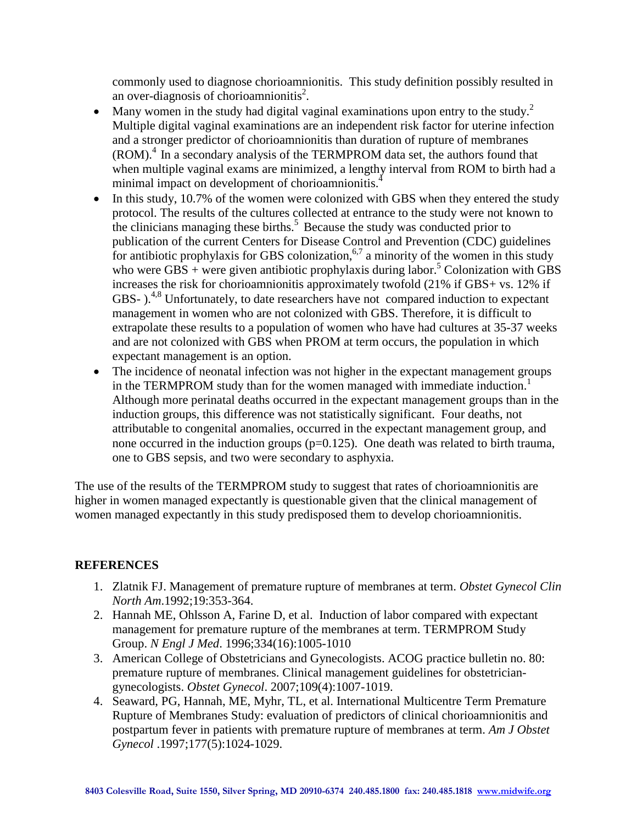commonly used to diagnose chorioamnionitis. This study definition possibly resulted in an over-diagnosis of chorioamnionitis<sup>2</sup>.

- Many women in the study had digital vaginal examinations upon entry to the study.<sup>2</sup> Multiple digital vaginal examinations are an independent risk factor for uterine infection and a stronger predictor of chorioamnionitis than duration of rupture of membranes (ROM). <sup>4</sup> In a secondary analysis of the TERMPROM data set, the authors found that when multiple vaginal exams are minimized, a lengthy interval from ROM to birth had a minimal impact on development of chorioamnionitis.<sup>4</sup>
- In this study, 10.7% of the women were colonized with GBS when they entered the study protocol. The results of the cultures collected at entrance to the study were not known to the clinicians managing these births. 5 Because the study was conducted prior to publication of the current Centers for Disease Control and Prevention (CDC) guidelines for antibiotic prophylaxis for GBS colonization,<sup>6,7</sup> a minority of the women in this study who were GBS + were given antibiotic prophylaxis during labor.<sup>5</sup> Colonization with GBS increases the risk for chorioamnionitis approximately twofold (21% if GBS+ vs. 12% if GBS- ).<sup>4,8</sup> Unfortunately, to date researchers have not compared induction to expectant management in women who are not colonized with GBS. Therefore, it is difficult to extrapolate these results to a population of women who have had cultures at 35-37 weeks and are not colonized with GBS when PROM at term occurs, the population in which expectant management is an option.
- The incidence of neonatal infection was not higher in the expectant management groups in the TERMPROM study than for the women managed with immediate induction.<sup>1</sup> Although more perinatal deaths occurred in the expectant management groups than in the induction groups, this difference was not statistically significant. Four deaths, not attributable to congenital anomalies, occurred in the expectant management group, and none occurred in the induction groups  $(p=0.125)$ . One death was related to birth trauma, one to GBS sepsis, and two were secondary to asphyxia.

The use of the results of the TERMPROM study to suggest that rates of chorioamnionitis are higher in women managed expectantly is questionable given that the clinical management of women managed expectantly in this study predisposed them to develop chorioamnionitis.

## **REFERENCES**

- 1. Zlatnik FJ. Management of premature rupture of membranes at term. *Obstet Gynecol Clin North Am*.1992;19:353-364.
- 2. Hannah ME, Ohlsson A, Farine D, et al. Induction of labor compared with expectant management for premature rupture of the membranes at term. TERMPROM Study Group. *N Engl J Med*. 1996;334(16):1005-1010
- 3. American College of Obstetricians and Gynecologists. ACOG practice bulletin no. 80: premature rupture of membranes. Clinical management guidelines for obstetriciangynecologists. *Obstet Gynecol*. 2007;109(4):1007-1019.
- 4. Seaward, PG, Hannah, ME, Myhr, TL, et al. International Multicentre Term Premature Rupture of Membranes Study: evaluation of predictors of clinical chorioamnionitis and postpartum fever in patients with premature rupture of membranes at term. *Am J Obstet Gynecol* .1997;177(5):1024-1029.